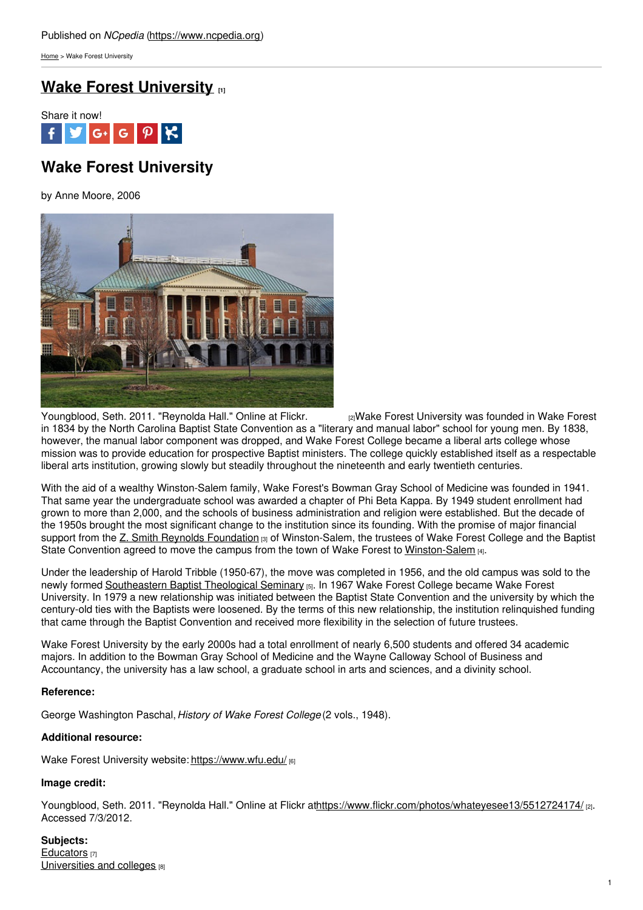[Home](https://www.ncpedia.org/) > Wake Forest University

## **Wake Forest [University](https://www.ncpedia.org/wake-forest-university) [1]**



# **Wake Forest University**

by Anne Moore, 2006



[Youngblood,](https://www.flickr.com/photos/whateyesee13/5512724174/) Seth. 2011. "Reynolda Hall." Online at Flickr. [2]Wake Forest University was founded in Wake Forest in 1834 by the North Carolina Baptist State Convention as a "literary and manual labor" school for young men. By 1838, however, the manual labor component was dropped, and Wake Forest College became a liberal arts college whose mission was to provide education for prospective Baptist ministers. The college quickly established itself as a respectable liberal arts institution, growing slowly but steadily throughout the nineteenth and early twentieth centuries.

With the aid of a wealthy Winston-Salem family, Wake Forest's Bowman Gray School of Medicine was founded in 1941. That same year the undergraduate school was awarded a chapter of Phi Beta Kappa. By 1949 student enrollment had grown to more than 2,000, and the schools of business administration and religion were established. But the decade of the 1950s brought the most significant change to the institution since its founding. With the promise of major financial support from the Z. Smith Reynolds [Foundation](https://www.ncpedia.org/z-smith-reynolds-foundation) [3] of Winston-Salem, the trustees of Wake Forest College and the Baptist State Convention agreed to move the campus from the town of Wake Forest to [Winston-Salem](https://www.ncpedia.org/geography/winston-salem) [4].

Under the leadership of Harold Tribble (1950-67), the move was completed in 1956, and the old campus was sold to the newly formed [Southeastern](https://www.ncpedia.org/southeastern-baptist-theological-se) Baptist Theological Seminary [5]. In 1967 Wake Forest College became Wake Forest University. In 1979 a new relationship was initiated between the Baptist State Convention and the university by which the century-old ties with the Baptists were loosened. By the terms of this new relationship, the institution relinquished funding that came through the Baptist Convention and received more flexibility in the selection of future trustees.

Wake Forest University by the early 2000s had a total enrollment of nearly 6,500 students and offered 34 academic majors. In addition to the Bowman Gray School of Medicine and the Wayne Calloway School of Business and Accountancy, the university has a law school, a graduate school in arts and sciences, and a divinity school.

### **Reference:**

George Washington Paschal,*History of Wake Forest College* (2 vols., 1948).

### **Additional resource:**

Wake Forest University website: <https://www.wfu.edu/> [6]

#### **Image credit:**

Youngblood, Seth. 2011. "Reynolda Hall." Online at Flickr a[thttps://www.flickr.com/photos/whateyesee13/5512724174/](https://www.flickr.com/photos/whateyesee13/5512724174/) [2]. Accessed 7/3/2012.

**Subjects:** [Educators](https://www.ncpedia.org/category/subjects/educators) [7] [Universities](https://www.ncpedia.org/category/subjects/universities-and-) and colleges [8]